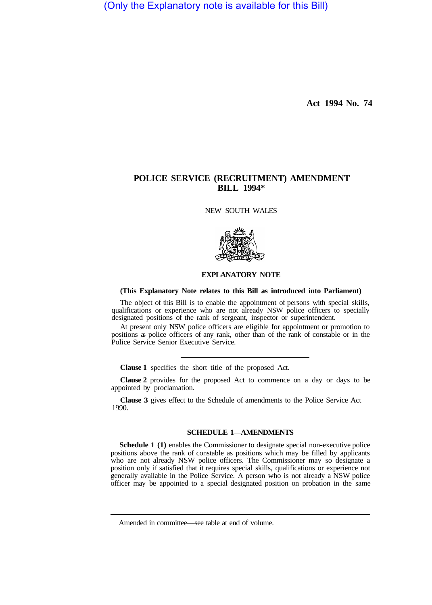(Only the Explanatory note is available for this Bill)

**Act 1994 No. 74** 

## **POLICE SERVICE (RECRUITMENT) AMENDMENT BILL 1994\***

NEW SOUTH WALES



## **EXPLANATORY NOTE**

## **(This Explanatory Note relates to this Bill as introduced into Parliament)**

The object of this Bill is to enable the appointment of persons with special skills, qualifications or experience who are not already NSW police officers to specially designated positions of the rank of sergeant, inspector or superintendent.

At present only NSW police officers are eligible for appointment or promotion to positions as police officers of any rank, other than of the rank of constable or in the Police Service Senior Executive Service.

**Clause 1** specifies the short title of the proposed Act.

**Clause 2** provides for the proposed Act to commence on a day or days to be appointed by proclamation.

**Clause 3** gives effect to the Schedule of amendments to the Police Service Act 1990.

## **SCHEDULE 1—AMENDMENTS**

**Schedule 1** (1) enables the Commissioner to designate special non-executive police positions above the rank of constable as positions which may be filled by applicants who are not already NSW police officers. The Commissioner may so designate a position only if satisfied that it requires special skills, qualifications or experience not generally available in the Police Service. A person who is not already a NSW police officer may be appointed to a special designated position on probation in the same

Amended in committee—see table at end of volume.